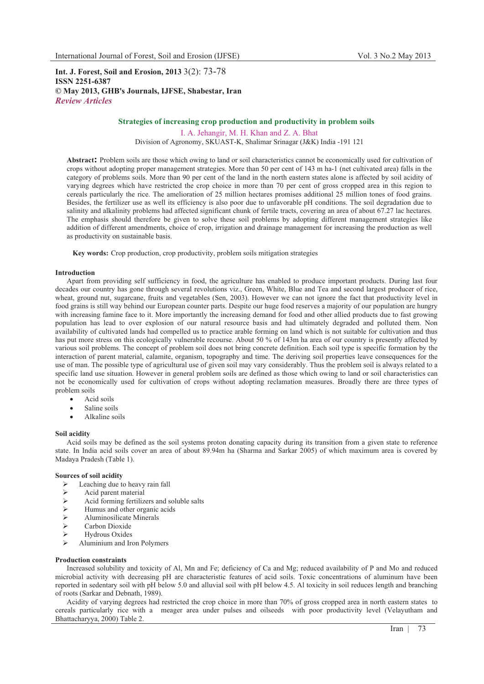**Int. J. Forest, Soil and Erosion, 2013** 3(2): 73-78 **ISSN 2251-6387 © May 2013, GHB's Journals, IJFSE, Shabestar, Iran** *Review Articles* 

# **Strategies of increasing crop production and productivity in problem soils**

I. A. Jehangir, M. H. Khan and Z. A. Bhat Division of Agronomy, SKUAST-K, Shalimar Srinagar (J&K) India -191 121

**Abstract:** Problem soils are those which owing to land or soil characteristics cannot be economically used for cultivation of crops without adopting proper management strategies. More than 50 per cent of 143 m ha-1 (net cultivated area) falls in the category of problems soils. More than 90 per cent of the land in the north eastern states alone is affected by soil acidity of varying degrees which have restricted the crop choice in more than 70 per cent of gross cropped area in this region to cereals particularly the rice. The amelioration of 25 million hectares promises additional 25 million tones of food grains. Besides, the fertilizer use as well its efficiency is also poor due to unfavorable pH conditions. The soil degradation due to salinity and alkalinity problems had affected significant chunk of fertile tracts, covering an area of about 67.27 lac hectares. The emphasis should therefore be given to solve these soil problems by adopting different management strategies like addition of different amendments, choice of crop, irrigation and drainage management for increasing the production as well as productivity on sustainable basis.

**Key words:** Crop production, crop productivity, problem soils mitigation strategies

#### **Introduction**

Apart from providing self sufficiency in food, the agriculture has enabled to produce important products. During last four decades our country has gone through several revolutions viz., Green, White, Blue and Tea and second largest producer of rice, wheat, ground nut, sugarcane, fruits and vegetables (Sen, 2003). However we can not ignore the fact that productivity level in food grains is still way behind our European counter parts. Despite our huge food reserves a majority of our population are hungry with increasing famine face to it. More importantly the increasing demand for food and other allied products due to fast growing population has lead to over explosion of our natural resource basis and had ultimately degraded and polluted them. Non availability of cultivated lands had compelled us to practice arable forming on land which is not suitable for cultivation and thus has put more stress on this ecologically vulnerable recourse. About 50 % of 143m ha area of our country is presently affected by various soil problems. The concept of problem soil does not bring concrete definition. Each soil type is specific formation by the interaction of parent material, calamite, organism, topography and time. The deriving soil properties leave consequences for the use of man. The possible type of agricultural use of given soil may vary considerably. Thus the problem soil is always related to a specific land use situation. However in general problem soils are defined as those which owing to land or soil characteristics can not be economically used for cultivation of crops without adopting reclamation measures. Broadly there are three types of problem soils

- $\bullet$ Acid soils
- $\bullet$ Saline soils
- -Alkaline soils

#### **Soil acidity**

Acid soils may be defined as the soil systems proton donating capacity during its transition from a given state to reference state. In India acid soils cover an area of about 89.94m ha (Sharma and Sarkar 2005) of which maximum area is covered by Madaya Pradesh (Table 1).

#### **Sources of soil acidity**

- $\triangleright$ Leaching due to heavy rain fall
- $\blacktriangleright$ Acid parent material
- $\blacktriangleright$ Acid forming fertilizers and soluble salts
- $\blacktriangleright$ Humus and other organic acids
- $\blacktriangleright$ Aluminosilicate Minerals
- $\blacktriangleright$ Carbon Dioxide
- -Hydrous Oxides
- $\blacktriangleright$ Aluminium and Iron Polymers

#### **Production constraints**

Increased solubility and toxicity of Al, Mn and Fe; deficiency of Ca and Mg; reduced availability of P and Mo and reduced microbial activity with decreasing pH are characteristic features of acid soils. Toxic concentrations of aluminum have been reported in sedentary soil with pH below 5.0 and alluvial soil with pH below 4.5. Al toxicity in soil reduces length and branching of roots (Sarkar and Debnath, 1989).

Acidity of varying degrees had restricted the crop choice in more than 70% of gross cropped area in north eastern states to cereals particularly rice with a meager area under pulses and oilseeds with poor productivity level (Velayutham and Bhattacharyya, 2000) Table 2.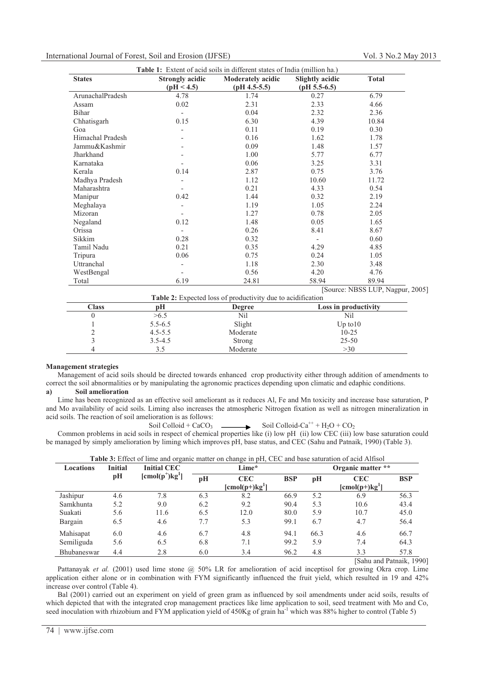# International Journal of Forest, Soil and Erosion (IJFSE) Vol. 3 No.2 May 2013

| <b>Table 1:</b> Extent of acid soils in different states of India (million ha.) |                        |                          |                 |                                 |
|---------------------------------------------------------------------------------|------------------------|--------------------------|-----------------|---------------------------------|
| <b>States</b>                                                                   | <b>Strongly acidic</b> | <b>Moderately acidic</b> | Slightly acidic | <b>Total</b>                    |
|                                                                                 | (pH < 4.5)             | (pH 4.5-5.5)             | $(pH 5.5-6.5)$  |                                 |
| ArunachalPradesh                                                                | 4.78                   | 1.74                     | 0.27            | 6.79                            |
| Assam                                                                           | 0.02                   | 2.31                     | 2.33            | 4.66                            |
| Bihar                                                                           |                        | 0.04                     | 2.32            | 2.36                            |
| Chhatisgarh                                                                     | 0.15                   | 6.30                     | 4.39            | 10.84                           |
| Goa                                                                             |                        | 0.11                     | 0.19            | 0.30                            |
| Himachal Pradesh                                                                |                        | 0.16                     | 1.62            | 1.78                            |
| Jammu&Kashmir                                                                   |                        | 0.09                     | 1.48            | 1.57                            |
| Jharkhand                                                                       |                        | 1.00                     | 5.77            | 6.77                            |
| Karnataka                                                                       |                        | 0.06                     | 3.25            | 3.31                            |
| Kerala                                                                          | 0.14                   | 2.87                     | 0.75            | 3.76                            |
| Madhya Pradesh                                                                  |                        | 1.12                     | 10.60           | 11.72                           |
| Maharashtra                                                                     |                        | 0.21                     | 4.33            | 0.54                            |
| Manipur                                                                         | 0.42                   | 1.44                     | 0.32            | 2.19                            |
| Meghalaya                                                                       |                        | 1.19                     | 1.05            | 2.24                            |
| Mizoran                                                                         |                        | 1.27                     | 0.78            | 2.05                            |
| Negaland                                                                        | 0.12                   | 1.48                     | 0.05            | 1.65                            |
| Orissa                                                                          |                        | 0.26                     | 8.41            | 8.67                            |
| Sikkim                                                                          | 0.28                   | 0.32                     |                 | 0.60                            |
| Tamil Nadu                                                                      | 0.21                   | 0.35                     | 4.29            | 4.85                            |
| Tripura                                                                         | 0.06                   | 0.75                     | 0.24            | 1.05                            |
| Uttranchal                                                                      |                        | 1.18                     | 2.30            | 3.48                            |
| WestBengal                                                                      |                        | 0.56                     | 4.20            | 4.76                            |
| Total                                                                           | 6.19                   | 24.81                    | 58.94           | 89.94                           |
|                                                                                 |                        |                          |                 | Source: NBSS LUP, Nagpur, 2005] |

|              |             | <b>Table 2:</b> Expected loss of productivity due to acidification |                      |
|--------------|-------------|--------------------------------------------------------------------|----------------------|
| <b>Class</b> | pН          | <b>Degree</b>                                                      | Loss in productivity |
|              | >6.5        | Nil                                                                | Nil                  |
|              | $5.5 - 6.5$ | Slight                                                             | $Up$ to $10$         |
|              | $4.5 - 5.5$ | Moderate                                                           | $10 - 25$            |
|              | $3.5 - 4.5$ | Strong                                                             | $25 - 50$            |
|              |             | Moderate                                                           | >30                  |

#### **Management strategies**

 $\overline{a}$ 

Management of acid soils should be directed towards enhanced crop productivity either through addition of amendments to correct the soil abnormalities or by manipulating the agronomic practices depending upon climatic and edaphic conditions. **a) Soil amelioration** 

Lime has been recognized as an effective soil ameliorant as it reduces Al, Fe and Mn toxicity and increase base saturation, P and Mo availability of acid soils. Liming also increases the atmospheric Nitrogen fixation as well as nitrogen mineralization in acid soils. The reaction of soil amelioration is as follows:

# Soil Colloid + CaCO<sub>3</sub>  $\longrightarrow$  Soil Colloid-Ca<sup>++</sup> + H<sub>2</sub>O + CO<sub>2</sub>

Common problems in acid soils in respect of chemical properties like (i) low pH (ii) low CEC (iii) low base saturation could be managed by simply amelioration by liming which improves pH, base status, and CEC (Sahu and Patnaik, 1990) (Table 3).

| <b>Locations</b> | <b>Initial</b> | <b>Initial CEC</b>            |     | Lime*                                |            |      | Organic matter **                          |            |
|------------------|----------------|-------------------------------|-----|--------------------------------------|------------|------|--------------------------------------------|------------|
|                  | pH             | $[{\rm cmol(p^+)}{\rm kg}^1]$ | pH  | <b>CEC</b><br>$[{\rm cmol}(p+)kg^1]$ | <b>BSP</b> | pH   | <b>CEC</b><br>$[{\rm cmol(p+)}{\rm kg}^1]$ | <b>BSP</b> |
| Jashipur         | 4.6            | 7.8                           | 6.3 | 8.2                                  | 66.9       | 5.2  | 6.9                                        | 56.3       |
| Samkhunta        | 5.2            | 9.0                           | 6.2 | 9.2                                  | 90.4       | 5.3  | 10.6                                       | 43.4       |
| Suakati          | 5.6            | 11.6                          | 6.5 | 12.0                                 | 80.0       | 5.9  | 10.7                                       | 45.0       |
| Bargain          | 6.5            | 4.6                           | 7.7 | 5.3                                  | 99.1       | 6.7  | 4.7                                        | 56.4       |
| Mahisapat        | 6.0            | 4.6                           | 6.7 | 4.8                                  | 94.1       | 66.3 | 4.6                                        | 66.7       |
| Semiliguda       | 5.6            | 6.5                           | 6.8 | 7.1                                  | 99.2       | 5.9  | 7.4                                        | 64.3       |
| Bhubaneswar      | 4.4            | 2.8                           | 6.0 | 3.4                                  | 96.2       | 4.8  | 3.3                                        | 57.8       |

| <b>Table 3:</b> Effect of lime and organic matter on change in pH, CEC and base saturation of acid Alfisol |
|------------------------------------------------------------------------------------------------------------|
|------------------------------------------------------------------------------------------------------------|

[Sahu and Patnaik, 1990]

Pattanayak *et al.* (2001) used lime stone @ 50% LR for amelioration of acid inceptisol for growing Okra crop. Lime application either alone or in combination with FYM significantly influenced the fruit yield, which resulted in 19 and 42% increase over control (Table 4).

Bal (2001) carried out an experiment on yield of green gram as influenced by soil amendments under acid soils, results of which depicted that with the integrated crop management practices like lime application to soil, seed treatment with Mo and Co, seed inoculation with rhizobium and FYM application yield of 450Kg of grain ha<sup>-1</sup> which was 88% higher to control (Table 5)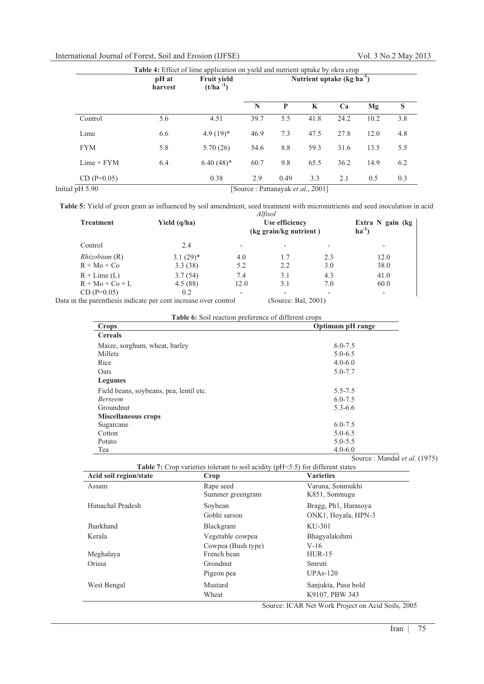# International Journal of Forest, Soil and Erosion (IJFSE) Vol. 3 No.2 May 2013

|                 | pH at<br>harvest | <b>Fruit yield</b><br>$(t/ha^{-1})$ |      | Nutrient uptake $(kg ha^{-1})$ |      |      |      |     |
|-----------------|------------------|-------------------------------------|------|--------------------------------|------|------|------|-----|
|                 |                  |                                     | N    | P                              | K    | Ca   | Mg   | S   |
| Control         | 5.6              | 4.51                                | 39.7 | 5.5                            | 41.8 | 24.2 | 10.2 | 3.8 |
| Lime            | 6.6              | $4.9(19)*$                          | 46.9 | 7.3                            | 47.5 | 27.8 | 12.0 | 4.8 |
| <b>FYM</b>      | 5.8              | 5.70(26)                            | 54.6 | 8.8                            | 59.3 | 31.6 | 13.5 | 5.5 |
| $Lime + FYM$    | 6.4              | $6.40(48)$ *                        | 60.7 | 9.8                            | 65.5 | 36.2 | 14.9 | 6.2 |
| $CD (P=0.05)$   |                  | 0.38                                | 2.9  | 0.49                           | 3.3  | 2.1  | 0.5  | 0.3 |
| Initial pH 5.90 |                  | [Source : Pattanayak et al., 2001]  |      |                                |      |      |      |     |

**Table 5:** Yield of green gram as influenced by soil amendment, seed treatment with micronutrients and seed inoculation in acid *Alfisol*

| <b>Treatment</b>  | Yield $(q/ha)$ | Altisol<br>Use efficiency<br>(kg grain/kg nutrient) |                 |     | Extra N gain (kg)<br>$ha^{-1}$ |  |  |
|-------------------|----------------|-----------------------------------------------------|-----------------|-----|--------------------------------|--|--|
| Control           | 2.4            |                                                     |                 |     |                                |  |  |
| Rhizobium(R)      | $3.1(29)$ *    | 4.0                                                 | 1.7             | 2.3 | 12.0                           |  |  |
| $R + Mo + Co$     | 3.3(38)        | 5.2                                                 | 2.2             | 3.0 | 38.0                           |  |  |
| $R + L$ ime (L)   | 3.7(54)        | 7.4                                                 | 3.1             | 4.3 | 41.0                           |  |  |
| $R + Mo + Co + L$ | 4.5(88)        | 12.0                                                | 5.1             | 7.0 | 60.0                           |  |  |
| $CD (P=0.05)$     | 0.2            |                                                     |                 |     |                                |  |  |
|                   |                |                                                     | (0, 0, 1, 2001) |     |                                |  |  |

Data in the parenthesis indicate per cent increase over control (Source: Bal, 2001)

|  | <b>Table 6:</b> Soil reaction preference of different crops |
|--|-------------------------------------------------------------|
|--|-------------------------------------------------------------|

| Crops                                   | Optimum pH range             |
|-----------------------------------------|------------------------------|
| <b>Cereals</b>                          |                              |
| Maize, sorghum, wheat, barley           | $6.0 - 7.5$                  |
| Millets                                 | $5.0 - 6.5$                  |
| Rice                                    | $4.0 - 6.0$                  |
| Oats                                    | $5.0 - 7.7$                  |
| <b>Legumes</b>                          |                              |
| Field beans, soybeans, pea, lentil etc. | $5.5 - 7.5$                  |
| <b>Berseem</b>                          | $6.0 - 7.5$                  |
| Groundnut                               | $5.3 - 6.6$                  |
| <b>Miscellaneous crops</b>              |                              |
| Sugarcane                               | $6.0 - 7.5$                  |
| Cotton                                  | $5.0 - 6.5$                  |
| Potato                                  | $5.0 - 5.5$                  |
| Tea                                     | $4.0 - 6.0$                  |
|                                         | Source: Mandal et al. (1975) |

**Table 7:** Crop varieties tolerant to soil acidity (pH<5.5) for different states

| Acid soil region/state | Crop                          | <b>Varieties</b>                                         |
|------------------------|-------------------------------|----------------------------------------------------------|
| Assam                  | Rape seed<br>Summer greengram | Varuna, Sonmukhi<br>K851, Sonmugu                        |
| Himachal Pradesh       | Soybean<br>Gobhi sarson       | Bragg, Ph <sub>1</sub> , Harasoya<br>ONK1, Hoyala, HPN-3 |
| Jharkhand              | Blackgram                     | KU-301                                                   |
| Kerala                 | Vegetable cowpea              | Bhagyalakshmi                                            |
|                        | Cowpea (Bush type)            | $V-16$                                                   |
| Meghalaya              | French bean                   | $HUR-15$                                                 |
| Orissa                 | Grondnut                      | Smruti                                                   |
|                        | Pigeon pea                    | $UPAs-120$                                               |
| West Bengal            | Mustard                       | Sanjukta, Pusa bold                                      |
|                        | Wheat                         | K9107, PBW 343                                           |

Source: ICAR Net Work Project on Acid Soils, 2005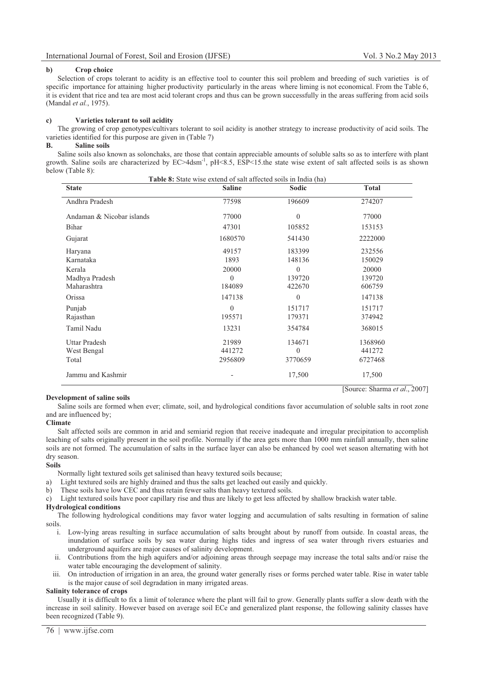[Source: Sharma *et al*., 2007]

#### **b) Crop choice**

Selection of crops tolerant to acidity is an effective tool to counter this soil problem and breeding of such varieties is of specific importance for attaining higher productivity particularly in the areas where liming is not economical. From the Table 6, it is evident that rice and tea are most acid tolerant crops and thus can be grown successfully in the areas suffering from acid soils (Mandal *et al.*, 1975).

### **c) Varieties tolerant to soil acidity**

The growing of crop genotypes/cultivars tolerant to soil acidity is another strategy to increase productivity of acid soils. The varieties identified for this purpose are given in (Table 7)

# **B. Saline soils**

 $\overline{a}$ 

Saline soils also known as solonchaks, are those that contain appreciable amounts of soluble salts so as to interfere with plant growth. Saline soils are characterized by  $EC > 4$ dsm<sup>-1</sup>, pH<8.5,  $ESP < 15$ .the state wise extent of salt affected soils is as shown below (Table 8): **Table 8:** State wise extend of salt affected soils in India (ha)

|                                              | <b>I able 8:</b> State wise extend of sail affected soils in mora (ha) |                                   |                              |
|----------------------------------------------|------------------------------------------------------------------------|-----------------------------------|------------------------------|
| <b>State</b>                                 | <b>Saline</b>                                                          | Sodic                             | <b>Total</b>                 |
| Andhra Pradesh                               | 77598                                                                  | 196609                            | 274207                       |
| Andaman & Nicobar islands                    | 77000                                                                  | $\theta$                          | 77000                        |
| Bihar                                        | 47301                                                                  | 105852                            | 153153                       |
| Gujarat                                      | 1680570                                                                | 541430                            | 2222000                      |
| Haryana<br>Karnataka                         | 49157<br>1893                                                          | 183399<br>148136                  | 232556<br>150029             |
| Kerala<br>Madhya Pradesh<br>Maharashtra      | 20000<br>$\Omega$<br>184089                                            | $\theta$<br>139720<br>422670      | 20000<br>139720<br>606759    |
| Orissa                                       | 147138                                                                 | $\mathbf{0}$                      | 147138                       |
| Punjab<br>Rajasthan                          | $\Omega$<br>195571                                                     | 151717<br>179371                  | 151717<br>374942             |
| Tamil Nadu                                   | 13231                                                                  | 354784                            | 368015                       |
| <b>Uttar Pradesh</b><br>West Bengal<br>Total | 21989<br>441272<br>2956809                                             | 134671<br>$\mathbf{0}$<br>3770659 | 1368960<br>441272<br>6727468 |
| Jammu and Kashmir                            |                                                                        | 17,500                            | 17,500                       |

#### **Development of saline soils**

Saline soils are formed when ever; climate, soil, and hydrological conditions favor accumulation of soluble salts in root zone and are influenced by;

# **Climate**

Salt affected soils are common in arid and semiarid region that receive inadequate and irregular precipitation to accomplish leaching of salts originally present in the soil profile. Normally if the area gets more than 1000 mm rainfall annually, then saline soils are not formed. The accumulation of salts in the surface layer can also be enhanced by cool wet season alternating with hot dry season.

# **Soils**

Normally light textured soils get salinised than heavy textured soils because;

a) Light textured soils are highly drained and thus the salts get leached out easily and quickly.

b) These soils have low CEC and thus retain fewer salts than heavy textured soils.

c) Light textured soils have poor capillary rise and thus are likely to get less affected by shallow brackish water table.

### **Hydrological conditions**

The following hydrological conditions may favor water logging and accumulation of salts resulting in formation of saline soils.

- i. Low-lying areas resulting in surface accumulation of salts brought about by runoff from outside. In coastal areas, the inundation of surface soils by sea water during highs tides and ingress of sea water through rivers estuaries and underground aquifers are major causes of salinity development.
- ii. Contributions from the high aquifers and/or adjoining areas through seepage may increase the total salts and/or raise the water table encouraging the development of salinity.
- iii. On introduction of irrigation in an area, the ground water generally rises or forms perched water table. Rise in water table is the major cause of soil degradation in many irrigated areas.

# **Salinity tolerance of crops**

Usually it is difficult to fix a limit of tolerance where the plant will fail to grow. Generally plants suffer a slow death with the increase in soil salinity. However based on average soil ECe and generalized plant response, the following salinity classes have been recognized (Table 9).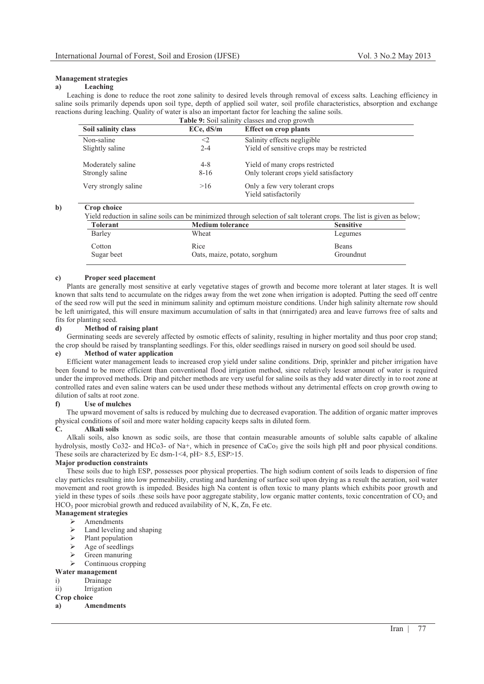# **Management strategies**

# **a) Leaching**

Leaching is done to reduce the root zone salinity to desired levels through removal of excess salts. Leaching efficiency in saline soils primarily depends upon soil type, depth of applied soil water, soil profile characteristics, absorption and exchange reactions during leaching. Quality of water is also an important factor for leaching the saline soils.

| <b>Table 9:</b> Soil salinity classes and crop growth |           |                                                        |  |  |  |
|-------------------------------------------------------|-----------|--------------------------------------------------------|--|--|--|
| Soil salinity class                                   | ECe, dS/m | <b>Effect on crop plants</b>                           |  |  |  |
| Non-saline                                            | $<$ 2     | Salinity effects negligible                            |  |  |  |
| Slightly saline                                       | $2 - 4$   | Yield of sensitive crops may be restricted             |  |  |  |
| Moderately saline                                     | $4 - 8$   | Yield of many crops restricted                         |  |  |  |
| Strongly saline                                       | $8 - 16$  | Only tolerant crops yield satisfactory                 |  |  |  |
| Very strongly saline                                  | >16       | Only a few very tolerant crops<br>Yield satisfactorily |  |  |  |

**b) Crop choice** 

Yield reduction in saline soils can be minimized through selection of salt tolerant crops. The list is given as below;

| Tolerant   | <b>Medium tolerance</b>      | <b>Sensitive</b> |
|------------|------------------------------|------------------|
| Barley     | Wheat                        | Legumes          |
| Cotton     | Rice                         | <b>Beans</b>     |
| Sugar beet | Oats, maize, potato, sorghum | Groundnut        |

## **c) Proper seed placement**

Plants are generally most sensitive at early vegetative stages of growth and become more tolerant at later stages. It is well known that salts tend to accumulate on the ridges away from the wet zone when irrigation is adopted. Putting the seed off centre of the seed row will put the seed in minimum salinity and optimum moisture conditions. Under high salinity alternate row should be left unirrigated, this will ensure maximum accumulation of salts in that (nnirrigated) area and leave furrows free of salts and fits for planting seed.

#### **d) Method of raising plant**

Germinating seeds are severely affected by osmotic effects of salinity, resulting in higher mortality and thus poor crop stand; the crop should be raised by transplanting seedlings. For this, older seedlings raised in nursery on good soil should be used.

#### **e) Method of water application**

Efficient water management leads to increased crop yield under saline conditions. Drip, sprinkler and pitcher irrigation have been found to be more efficient than conventional flood irrigation method, since relatively lesser amount of water is required under the improved methods. Drip and pitcher methods are very useful for saline soils as they add water directly in to root zone at controlled rates and even saline waters can be used under these methods without any detrimental effects on crop growth owing to dilution of salts at root zone.

#### **f) Use of mulches**

The upward movement of salts is reduced by mulching due to decreased evaporation. The addition of organic matter improves physical conditions of soil and more water holding capacity keeps salts in diluted form.

## **C. Alkali soils**

Alkali soils, also known as sodic soils, are those that contain measurable amounts of soluble salts capable of alkaline hydrolysis, mostly Co32- and HCo3- of Na+, which in presence of CaCo<sub>3</sub> give the soils high pH and poor physical conditions. These soils are characterized by Ec dsm-1<4, pH> 8.5, ESP>15.

## **Major production constraints**

These soils due to high ESP, possesses poor physical properties. The high sodium content of soils leads to dispersion of fine clay particles resulting into low permeability, crusting and hardening of surface soil upon drying as a result the aeration, soil water movement and root growth is impeded. Besides high Na content is often toxic to many plants which exhibits poor growth and yield in these types of soils these soils have poor aggregate stability, low organic matter contents, toxic concentration of  $CO<sub>2</sub>$  and  $HCO<sub>3</sub>$  poor microbial growth and reduced availability of N, K, Zn, Fe etc.

# **Management strategies**

- $\triangleright$  Amendments  $\blacktriangleright$
- Land leveling and shaping  $\mathbf{v}$
- Plant population
- $\blacktriangleright$ Age of seedlings
- $\triangleright$  Green manuring  $\blacktriangleright$
- Continuous cropping

# **Water management**

- i) Drainage
- ii) Irrigation

# **Crop choice**

# **a) Amendments**